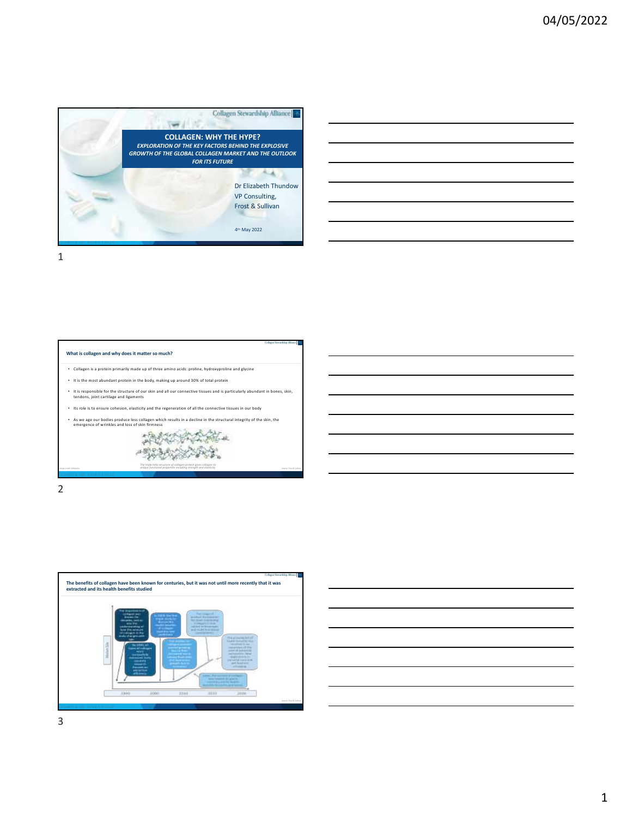

| ,我们的人们就会在这里,我们的人们就会在这里,我们的人们就会在这里,我们的人们就会在这里,我们的人们就会在这里,我们的人们就会在这里,我们的人们就会在这里,我们<br>第151章 我们的人们的人们,我们的人们的人们的人们,我们的人们的人们的人们的人们的人们,我们的人们的人们的人们,我们的人们的人们,我们的人们的人们,我们的人们  |  |  |
|-----------------------------------------------------------------------------------------------------------------------------------------------------------------------|--|--|
|                                                                                                                                                                       |  |  |
| <u> 1989 - Andrea Santa Andrea Andrea Andrea Andrea Andrea Andrea Andrea Andrea Andrea Andrea Andrea Andrea Andr</u>                                                  |  |  |
|                                                                                                                                                                       |  |  |
| ,我们也不会有一个人的事情。""我们的人,我们也不会有一个人的人,我们也不会有一个人的人,我们也不会有一个人的人,我们也不会有一个人的人,我们也不会有一个人的人,<br>第二百一十一章 第二百一十一章 第二百一十一章 第二百一十一章 第二百一十一章 第二百一十一章 第二百一十一章 第二百一十一章 第二百一章 第二百一章 第二百一 |  |  |
|                                                                                                                                                                       |  |  |
|                                                                                                                                                                       |  |  |
|                                                                                                                                                                       |  |  |
|                                                                                                                                                                       |  |  |
|                                                                                                                                                                       |  |  |
|                                                                                                                                                                       |  |  |

1



2





3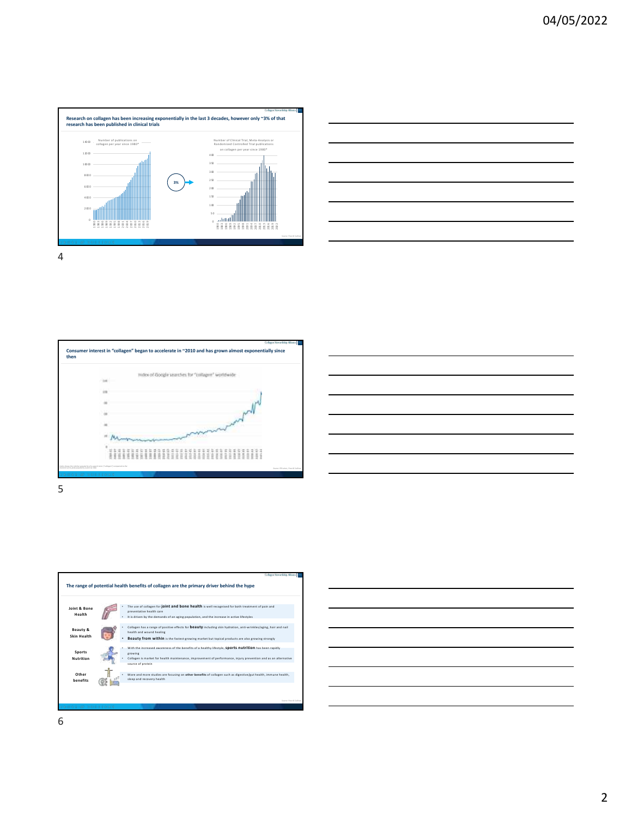









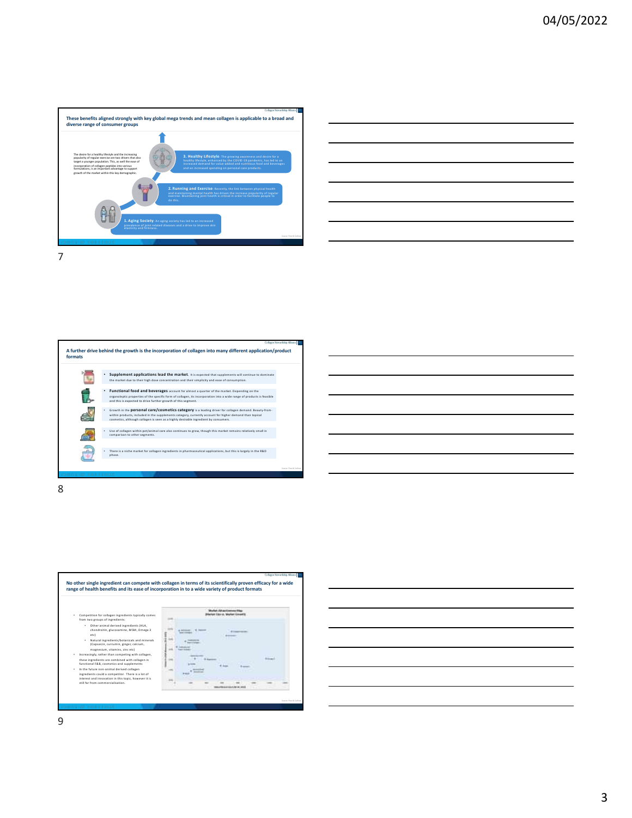



**A further drive behind the growth is the incorporation of collagen into many different application/product formats** • **Supplement applications lead the market.** It is expected that supplements will continue to dominate the market due to their high dose concentration and their simplicity and ease of consumption. f. Franctional food and beverages account for almost a quarter of the market. Depending on the<br>organoleptic properties of the specific form of collagen, its incorporation into a wide range of products is feasible<br>and this is • Growth in the **personal care/cosmetics category** is a leading driver for collagen demand. Beauty-from- $\mathcal{L}$ within products, included in the supplements category, currently account for higher demand than topical<br>cosmetics, although collagen is seen as a highly desirable ingredient by consumers. • Use of collagen within pet/animal care also continues to grow, though this market remains relatively small in comparison to other segments. Ð • There is a niche market for collagen ingredients in pharmaceutical applications, but this is largely in the R&D phase.

8



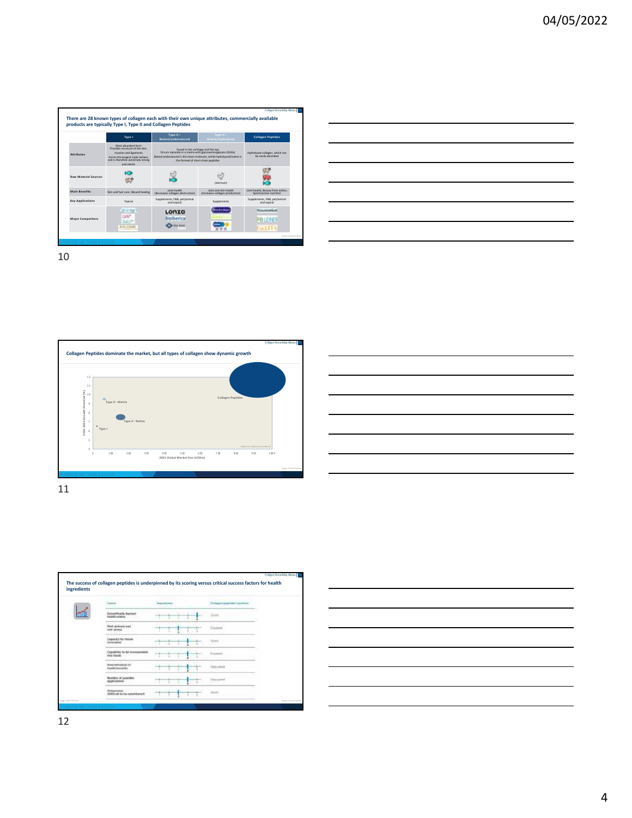



10









12